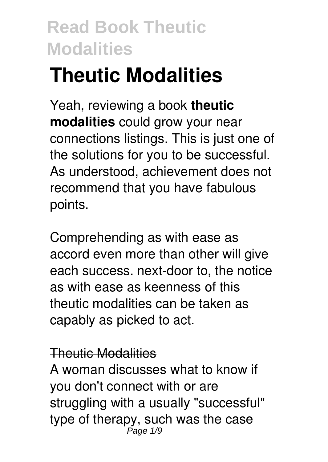# **Theutic Modalities**

Yeah, reviewing a book **theutic modalities** could grow your near connections listings. This is just one of the solutions for you to be successful. As understood, achievement does not recommend that you have fabulous points.

Comprehending as with ease as accord even more than other will give each success. next-door to, the notice as with ease as keenness of this theutic modalities can be taken as capably as picked to act.

#### Theutic Modalities

A woman discusses what to know if you don't connect with or are struggling with a usually "successful" type of therapy, such was the case Page 1/9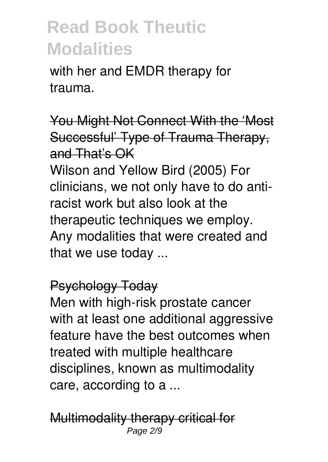with her and EMDR therapy for trauma.

You Might Not Connect With the 'Most Successful' Type of Trauma Therapy, and That's OK

Wilson and Yellow Bird (2005) For clinicians, we not only have to do antiracist work but also look at the therapeutic techniques we employ. Any modalities that were created and that we use today ...

#### Psychology Today

Men with high-risk prostate cancer with at least one additional aggressive feature have the best outcomes when treated with multiple healthcare disciplines, known as multimodality care, according to a ...

Multimodality therapy critical for Page 2/9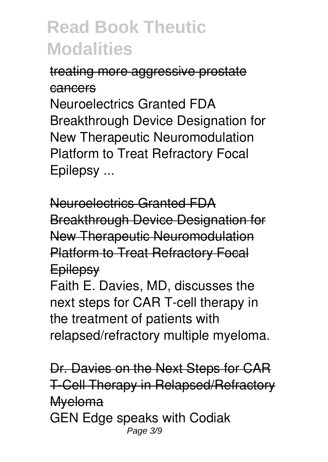### treating more aggressive prostate cancers

Neuroelectrics Granted FDA Breakthrough Device Designation for New Therapeutic Neuromodulation Platform to Treat Refractory Focal Epilepsy ...

Neuroelectrics Granted FDA Breakthrough Device Designation for New Therapeutic Neuromodulation Platform to Treat Refractory Focal **Epilepsy** 

Faith E. Davies, MD, discusses the next steps for CAR T-cell therapy in the treatment of patients with relapsed/refractory multiple myeloma.

Dr. Davies on the Next Steps for CAR T-Cell Therapy in Relapsed/Refractory Myeloma GEN Edge speaks with Codiak Page 3/9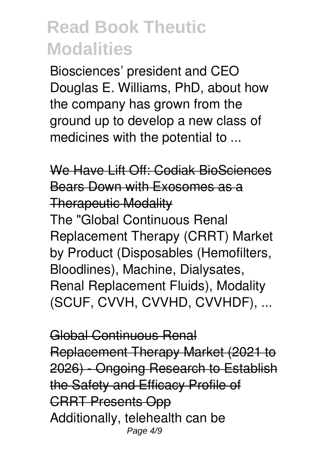Biosciences' president and CEO Douglas E. Williams, PhD, about how the company has grown from the ground up to develop a new class of medicines with the potential to ...

We Have Lift Off: Codiak BioSciences Bears Down with Exosomes as a Therapeutic Modality The "Global Continuous Renal Replacement Therapy (CRRT) Market by Product (Disposables (Hemofilters, Bloodlines), Machine, Dialysates, Renal Replacement Fluids), Modality (SCUF, CVVH, CVVHD, CVVHDF), ...

Global Continuous Renal Replacement Therapy Market (2021 to 2026) - Ongoing Research to Establish the Safety and Efficacy Profile of CRRT Presents Opp Additionally, telehealth can be Page 4/9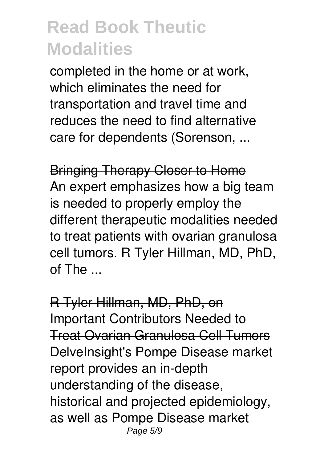completed in the home or at work, which eliminates the need for transportation and travel time and reduces the need to find alternative care for dependents (Sorenson, ...

Bringing Therapy Closer to Home An expert emphasizes how a big team is needed to properly employ the different therapeutic modalities needed to treat patients with ovarian granulosa cell tumors. R Tyler Hillman, MD, PhD,  $of$  The  $\overline{\phantom{a}}$ 

R Tyler Hillman, MD, PhD, on Important Contributors Needed to Treat Ovarian Granulosa Cell Tumors DelveInsight's Pompe Disease market report provides an in-depth understanding of the disease, historical and projected epidemiology, as well as Pompe Disease market Page 5/9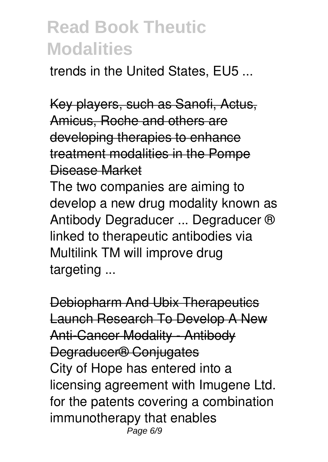trends in the United States, EU5 ...

Key players, such as Sanofi, Actus, Amicus, Roche and others are developing therapies to enhance treatment modalities in the Pompe Disease Market

The two companies are aiming to develop a new drug modality known as Antibody Degraducer ... Degraducer ® linked to therapeutic antibodies via Multilink TM will improve drug targeting ...

Debiopharm And Ubix Therapeutics Launch Research To Develop A New Anti-Cancer Modality - Antibody Degraducer® Conjugates City of Hope has entered into a licensing agreement with Imugene Ltd. for the patents covering a combination immunotherapy that enables Page 6/9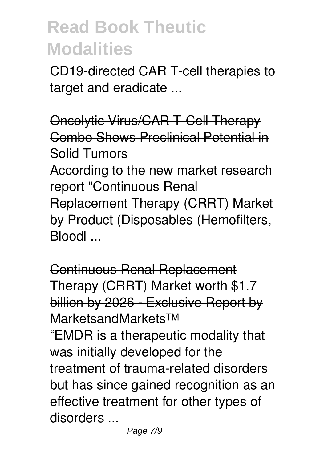CD19-directed CAR T-cell therapies to target and eradicate ...

Oncolytic Virus/CAR T-Cell Therapy Combo Shows Preclinical Potential in Solid Tumors According to the new market research report "Continuous Renal Replacement Therapy (CRRT) Market by Product (Disposables (Hemofilters, Bloodl ...

Continuous Renal Replacement Therapy (CRRT) Market worth \$1.7 billion by 2026 - Exclusive Report by MarketsandMarkets™

"EMDR is a therapeutic modality that was initially developed for the treatment of trauma-related disorders but has since gained recognition as an effective treatment for other types of disorders ...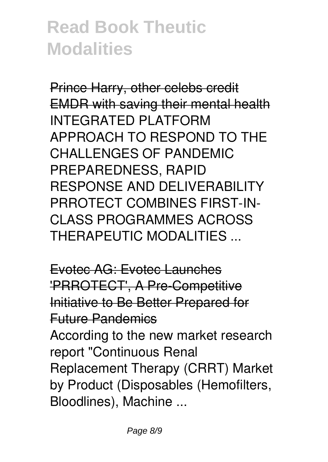Prince Harry, other celebs credit EMDR with saving their mental health INTEGRATED PLATFORM APPROACH TO RESPOND TO THE CHALL ENGES OF PANDEMIC PREPAREDNESS, RAPID RESPONSE AND DELIVERABILITY PRROTECT COMBINES FIRST-IN-CLASS PROGRAMMES ACROSS THERAPEUTIC MODALITIES ...

Evotec AG: Evotec Launches 'PRROTECT', A Pre-Competitive Initiative to Be Better Prepared for Future Pandemics According to the new market research report "Continuous Renal Replacement Therapy (CRRT) Market by Product (Disposables (Hemofilters, Bloodlines), Machine ...